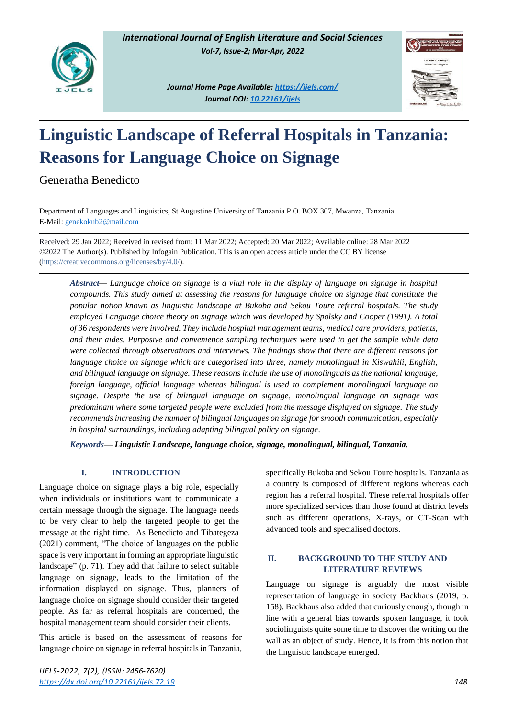

*Journal Home Page Available[: https://ijels.com/](https://ijels.com/) Journal DOI: 10.22161/ijels*



# **Linguistic Landscape of Referral Hospitals in Tanzania: Reasons for Language Choice on Signage**

Generatha Benedicto

Department of Languages and Linguistics, St Augustine University of Tanzania P.O. BOX 307, Mwanza, Tanzania E-Mail: [genekokub2@mail.com](mailto:genekokub2@mail.com)

Received: 29 Jan 2022; Received in revised from: 11 Mar 2022; Accepted: 20 Mar 2022; Available online: 28 Mar 2022 ©2022 The Author(s). Published by Infogain Publication. This is an open access article under the CC BY license [\(https://creativecommons.org/licenses/by/4.0/\)](https://creativecommons.org/licenses/by/4.0/).

*Abstract— Language choice on signage is a vital role in the display of language on signage in hospital compounds. This study aimed at assessing the reasons for language choice on signage that constitute the popular notion known as linguistic landscape at Bukoba and Sekou Toure referral hospitals. The study employed Language choice theory on signage which was developed by Spolsky and Cooper (1991). A total of 36 respondents were involved. They include hospital management teams, medical care providers, patients, and their aides. Purposive and convenience sampling techniques were used to get the sample while data were collected through observations and interviews. The findings show that there are different reasons for language choice on signage which are categorised into three, namely monolingual in Kiswahili, English, and bilingual language on signage. These reasons include the use of monolinguals as the national language, foreign language, official language whereas bilingual is used to complement monolingual language on signage. Despite the use of bilingual language on signage, monolingual language on signage was predominant where some targeted people were excluded from the message displayed on signage. The study recommends increasing the number of bilingual languages on signage for smooth communication, especially in hospital surroundings, including adapting bilingual policy on signage*.

*Keywords— Linguistic Landscape, language choice, signage, monolingual, bilingual, Tanzania.*

# **I. INTRODUCTION**

Language choice on signage plays a big role, especially when individuals or institutions want to communicate a certain message through the signage. The language needs to be very clear to help the targeted people to get the message at the right time. As Benedicto and Tibategeza (2021) comment, "The choice of languages on the public space is very important in forming an appropriate linguistic landscape" (p. 71). They add that failure to select suitable language on signage, leads to the limitation of the information displayed on signage. Thus, planners of language choice on signage should consider their targeted people. As far as referral hospitals are concerned, the hospital management team should consider their clients.

This article is based on the assessment of reasons for language choice on signage in referral hospitals in Tanzania, specifically Bukoba and Sekou Toure hospitals. Tanzania as a country is composed of different regions whereas each region has a referral hospital. These referral hospitals offer more specialized services than those found at district levels such as different operations, X-rays, or CT-Scan with advanced tools and specialised doctors.

#### **II. BACKGROUND TO THE STUDY AND LITERATURE REVIEWS**

Language on signage is arguably the most visible representation of language in society Backhaus (2019, p. 158). Backhaus also added that curiously enough, though in line with a general bias towards spoken language, it took sociolinguists quite some time to discover the writing on the wall as an object of study. Hence, it is from this notion that the linguistic landscape emerged.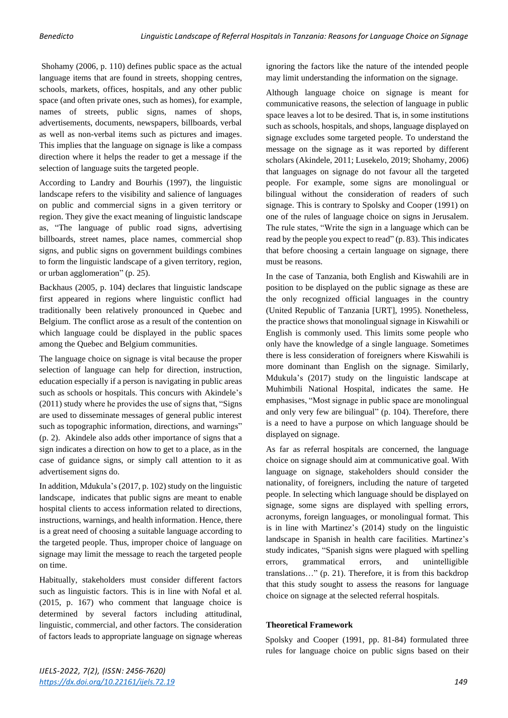Shohamy (2006, p. 110) defines public space as the actual language items that are found in streets, shopping centres, schools, markets, offices, hospitals, and any other public space (and often private ones, such as homes), for example, names of streets, public signs, names of shops, advertisements, documents, newspapers, billboards, verbal as well as non-verbal items such as pictures and images. This implies that the language on signage is like a compass direction where it helps the reader to get a message if the selection of language suits the targeted people.

According to Landry and Bourhis (1997), the linguistic landscape refers to the visibility and salience of languages on public and commercial signs in a given territory or region. They give the exact meaning of linguistic landscape as, "The language of public road signs, advertising billboards, street names, place names, commercial shop signs, and public signs on government buildings combines to form the linguistic landscape of a given territory, region, or urban agglomeration" (p. 25).

Backhaus (2005, p. 104) declares that linguistic landscape first appeared in regions where linguistic conflict had traditionally been relatively pronounced in Quebec and Belgium. The conflict arose as a result of the contention on which language could be displayed in the public spaces among the Quebec and Belgium communities.

The language choice on signage is vital because the proper selection of language can help for direction, instruction, education especially if a person is navigating in public areas such as schools or hospitals. This concurs with Akindele's (2011) study where he provides the use of signs that, "Signs are used to disseminate messages of general public interest such as topographic information, directions, and warnings" (p. 2). Akindele also adds other importance of signs that a sign indicates a direction on how to get to a place, as in the case of guidance signs, or simply call attention to it as advertisement signs do.

In addition, Mdukula's (2017, p. 102) study on the linguistic landscape, indicates that public signs are meant to enable hospital clients to access information related to directions, instructions, warnings, and health information. Hence, there is a great need of choosing a suitable language according to the targeted people. Thus, improper choice of language on signage may limit the message to reach the targeted people on time.

Habitually, stakeholders must consider different factors such as linguistic factors. This is in line with Nofal et al. (2015, p. 167) who comment that language choice is determined by several factors including attitudinal, linguistic, commercial, and other factors. The consideration of factors leads to appropriate language on signage whereas

ignoring the factors like the nature of the intended people may limit understanding the information on the signage.

Although language choice on signage is meant for communicative reasons, the selection of language in public space leaves a lot to be desired. That is, in some institutions such as schools, hospitals, and shops, language displayed on signage excludes some targeted people. To understand the message on the signage as it was reported by different scholars (Akindele, 2011; Lusekelo, 2019; Shohamy, 2006) that languages on signage do not favour all the targeted people. For example, some signs are monolingual or bilingual without the consideration of readers of such signage. This is contrary to Spolsky and Cooper (1991) on one of the rules of language choice on signs in Jerusalem. The rule states, "Write the sign in a language which can be read by the people you expect to read" (p. 83). This indicates that before choosing a certain language on signage, there must be reasons.

In the case of Tanzania, both English and Kiswahili are in position to be displayed on the public signage as these are the only recognized official languages in the country (United Republic of Tanzania [URT], 1995). Nonetheless, the practice shows that monolingual signage in Kiswahili or English is commonly used. This limits some people who only have the knowledge of a single language. Sometimes there is less consideration of foreigners where Kiswahili is more dominant than English on the signage. Similarly, Mdukula's (2017) study on the linguistic landscape at Muhimbili National Hospital, indicates the same. He emphasises, "Most signage in public space are monolingual and only very few are bilingual" (p. 104). Therefore, there is a need to have a purpose on which language should be displayed on signage.

As far as referral hospitals are concerned, the language choice on signage should aim at communicative goal. With language on signage, stakeholders should consider the nationality, of foreigners, including the nature of targeted people. In selecting which language should be displayed on signage, some signs are displayed with spelling errors, acronyms, foreign languages, or monolingual format. This is in line with Martinez's (2014) study on the linguistic landscape in Spanish in health care facilities. Martinez's study indicates, "Spanish signs were plagued with spelling errors, grammatical errors, and unintelligible translations…" (p. 21). Therefore, it is from this backdrop that this study sought to assess the reasons for language choice on signage at the selected referral hospitals.

#### **Theoretical Framework**

Spolsky and Cooper (1991, pp. 81-84) formulated three rules for language choice on public signs based on their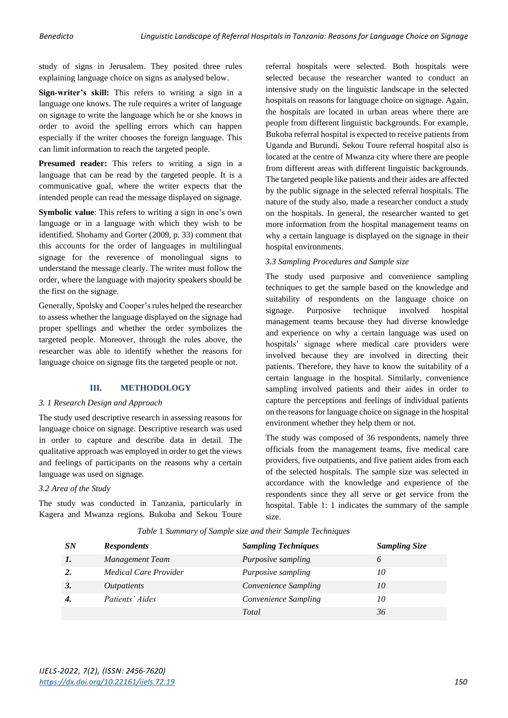study of signs in Jerusalem. They posited three rules explaining language choice on signs as analysed below.

**Sign-writer's skill:** This refers to writing a sign in a language one knows. The rule requires a writer of language on signage to write the language which he or she knows in order to avoid the spelling errors which can happen especially if the writer chooses the foreign language. This can limit information to reach the targeted people.

Presumed reader: This refers to writing a sign in a language that can be read by the targeted people. It is a communicative goal, where the writer expects that the intended people can read the message displayed on signage.

**Symbolic value**: This refers to writing a sign in one's own language or in a language with which they wish to be identified. Shohamy and Gorter (2009, p. 33) comment that this accounts for the order of languages in multilingual signage for the reverence of monolingual signs to understand the message clearly. The writer must follow the order, where the language with majority speakers should be the first on the signage.

Generally, Spolsky and Cooper's rules helped the researcher to assess whether the language displayed on the signage had proper spellings and whether the order symbolizes the targeted people. Moreover, through the rules above, the researcher was able to identify whether the reasons for language choice on signage fits the targeted people or not.

#### **III. METHODOLOGY**

#### *3. 1 Research Design and Approach*

The study used descriptive research in assessing reasons for language choice on signage. Descriptive research was used in order to capture and describe data in detail. The qualitative approach was employed in order to get the views and feelings of participants on the reasons why a certain language was used on signage.

#### *3.2 Area of the Study*

The study was conducted in Tanzania, particularly in Kagera and Mwanza regions. Bukoba and Sekou Toure

referral hospitals were selected. Both hospitals were selected because the researcher wanted to conduct an intensive study on the linguistic landscape in the selected hospitals on reasons for language choice on signage. Again, the hospitals are located in urban areas where there are people from different linguistic backgrounds. For example, Bukoba referral hospital is expected to receive patients from Uganda and Burundi. Sekou Toure referral hospital also is located at the centre of Mwanza city where there are people from different areas with different linguistic backgrounds. The targeted people like patients and their aides are affected by the public signage in the selected referral hospitals. The nature of the study also, made a researcher conduct a study on the hospitals. In general, the researcher wanted to get more information from the hospital management teams on why a certain language is displayed on the signage in their hospital environments.

#### *3.3 Sampling Procedures and Sample size*

The study used purposive and convenience sampling techniques to get the sample based on the knowledge and suitability of respondents on the language choice on signage. Purposive technique involved hospital management teams because they had diverse knowledge and experience on why a certain language was used on hospitals' signage where medical care providers were involved because they are involved in directing their patients. Therefore, they have to know the suitability of a certain language in the hospital. Similarly, convenience sampling involved patients and their aides in order to capture the perceptions and feelings of individual patients on the reasons for language choice on signage in the hospital environment whether they help them or not.

The study was composed of 36 respondents, namely three officials from the management teams, five medical care providers, five outpatients, and five patient aides from each of the selected hospitals. The sample size was selected in accordance with the knowledge and experience of the respondents since they all serve or get service from the hospital. Table 1: 1 indicates the summary of the sample size.

| <i>SN</i> | <b>Respondents</b>    | <b>Sampling Techniques</b> | <b>Sampling Size</b> |
|-----------|-----------------------|----------------------------|----------------------|
|           | Management Team       | <i>Purposive sampling</i>  | <sup>6</sup>         |
|           | Medical Care Provider | <i>Purposive sampling</i>  | 10                   |
| 3.        | <i>Outpatients</i>    | Convenience Sampling       | 10                   |
|           | Patients' Aides       | Convenience Sampling       | 10                   |
|           |                       | Total                      | 36                   |

*Table* 1 *Summary of Sample size and their Sample Techniques*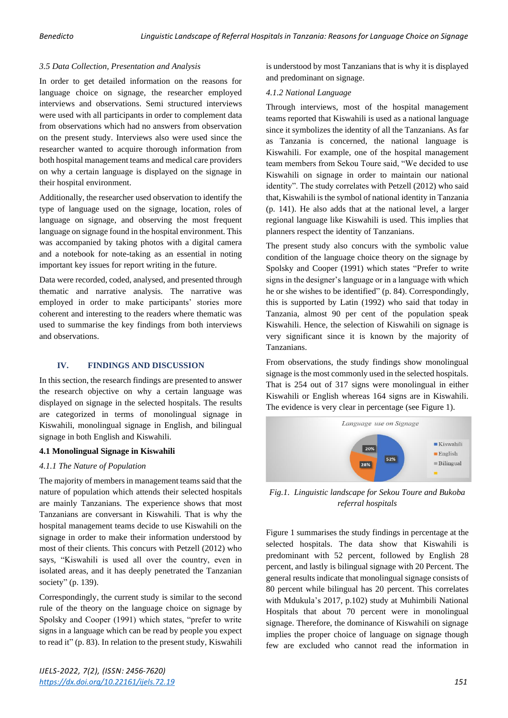### *3.5 Data Collection, Presentation and Analysis*

In order to get detailed information on the reasons for language choice on signage, the researcher employed interviews and observations. Semi structured interviews were used with all participants in order to complement data from observations which had no answers from observation on the present study. Interviews also were used since the researcher wanted to acquire thorough information from both hospital management teams and medical care providers on why a certain language is displayed on the signage in their hospital environment.

Additionally, the researcher used observation to identify the type of language used on the signage, location, roles of language on signage, and observing the most frequent language on signage found in the hospital environment. This was accompanied by taking photos with a digital camera and a notebook for note-taking as an essential in noting important key issues for report writing in the future.

Data were recorded, coded, analysed, and presented through thematic and narrative analysis. The narrative was employed in order to make participants' stories more coherent and interesting to the readers where thematic was used to summarise the key findings from both interviews and observations.

# **IV. FINDINGS AND DISCUSSION**

In this section, the research findings are presented to answer the research objective on why a certain language was displayed on signage in the selected hospitals. The results are categorized in terms of monolingual signage in Kiswahili, monolingual signage in English, and bilingual signage in both English and Kiswahili.

#### **4.1 Monolingual Signage in Kiswahili**

#### *4.1.1 The Nature of Population*

The majority of members in management teams said that the nature of population which attends their selected hospitals are mainly Tanzanians. The experience shows that most Tanzanians are conversant in Kiswahili. That is why the hospital management teams decide to use Kiswahili on the signage in order to make their information understood by most of their clients. This concurs with Petzell (2012) who says, "Kiswahili is used all over the country, even in isolated areas, and it has deeply penetrated the Tanzanian society" (p. 139).

Correspondingly, the current study is similar to the second rule of the theory on the language choice on signage by Spolsky and Cooper (1991) which states, "prefer to write signs in a language which can be read by people you expect to read it" (p. 83). In relation to the present study, Kiswahili is understood by most Tanzanians that is why it is displayed and predominant on signage.

## *4.1.2 National Language*

Through interviews, most of the hospital management teams reported that Kiswahili is used as a national language since it symbolizes the identity of all the Tanzanians. As far as Tanzania is concerned, the national language is Kiswahili. For example, one of the hospital management team members from Sekou Toure said, "We decided to use Kiswahili on signage in order to maintain our national identity". The study correlates with Petzell (2012) who said that, Kiswahili is the symbol of national identity in Tanzania (p. 141). He also adds that at the national level, a larger regional language like Kiswahili is used. This implies that planners respect the identity of Tanzanians.

The present study also concurs with the symbolic value condition of the language choice theory on the signage by Spolsky and Cooper (1991) which states "Prefer to write signs in the designer's language or in a language with which he or she wishes to be identified" (p. 84). Correspondingly, this is supported by Latin (1992) who said that today in Tanzania, almost 90 per cent of the population speak Kiswahili. Hence, the selection of Kiswahili on signage is very significant since it is known by the majority of Tanzanians.

From observations, the study findings show monolingual signage is the most commonly used in the selected hospitals. That is 254 out of 317 signs were monolingual in either Kiswahili or English whereas 164 signs are in Kiswahili. The evidence is very clear in percentage (see Figure 1).



*Fig.1. Linguistic landscape for Sekou Toure and Bukoba referral hospitals*

Figure 1 summarises the study findings in percentage at the selected hospitals. The data show that Kiswahili is predominant with 52 percent, followed by English 28 percent, and lastly is bilingual signage with 20 Percent. The general results indicate that monolingual signage consists of 80 percent while bilingual has 20 percent. This correlates with Mdukula's 2017, p.102) study at Muhimbili National Hospitals that about 70 percent were in monolingual signage. Therefore, the dominance of Kiswahili on signage implies the proper choice of language on signage though few are excluded who cannot read the information in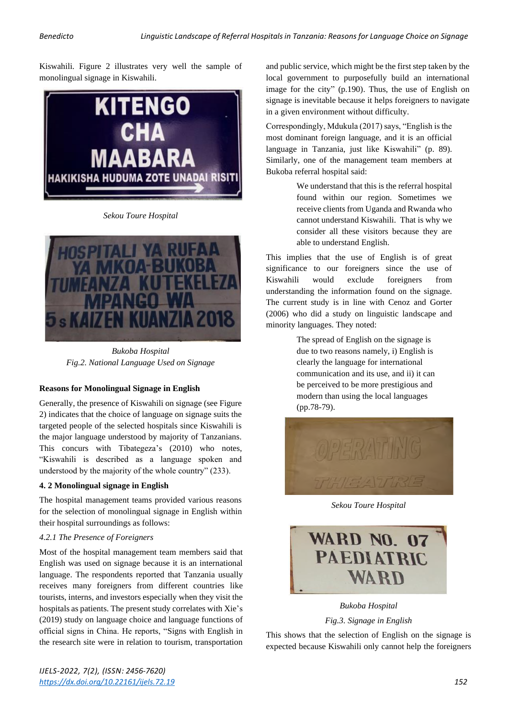Kiswahili. Figure 2 illustrates very well the sample of monolingual signage in Kiswahili.



*Sekou Toure Hospital*



*Bukoba Hospital Fig.2. National Language Used on Signage*

#### **Reasons for Monolingual Signage in English**

Generally, the presence of Kiswahili on signage (see Figure 2) indicates that the choice of language on signage suits the targeted people of the selected hospitals since Kiswahili is the major language understood by majority of Tanzanians. This concurs with Tibategeza's (2010) who notes, "Kiswahili is described as a language spoken and understood by the majority of the whole country" (233).

#### **4. 2 Monolingual signage in English**

The hospital management teams provided various reasons for the selection of monolingual signage in English within their hospital surroundings as follows:

#### *4.2.1 The Presence of Foreigners*

Most of the hospital management team members said that English was used on signage because it is an international language. The respondents reported that Tanzania usually receives many foreigners from different countries like tourists, interns, and investors especially when they visit the hospitals as patients. The present study correlates with Xie's (2019) study on language choice and language functions of official signs in China. He reports, "Signs with English in the research site were in relation to tourism, transportation

and public service, which might be the first step taken by the local government to purposefully build an international image for the city" (p.190). Thus, the use of English on signage is inevitable because it helps foreigners to navigate in a given environment without difficulty.

Correspondingly, Mdukula (2017) says, "English is the most dominant foreign language, and it is an official language in Tanzania, just like Kiswahili" (p. 89). Similarly, one of the management team members at Bukoba referral hospital said:

> We understand that this is the referral hospital found within our region. Sometimes we receive clients from Uganda and Rwanda who cannot understand Kiswahili. That is why we consider all these visitors because they are able to understand English.

This implies that the use of English is of great significance to our foreigners since the use of Kiswahili would exclude foreigners from understanding the information found on the signage. The current study is in line with Cenoz and Gorter (2006) who did a study on linguistic landscape and minority languages. They noted:

> The spread of English on the signage is due to two reasons namely, i) English is clearly the language for international communication and its use, and ii) it can be perceived to be more prestigious and modern than using the local languages (pp.78-79).



*Sekou Toure Hospital*



*Bukoba Hospital*

*Fig.3. Signage in English*

This shows that the selection of English on the signage is expected because Kiswahili only cannot help the foreigners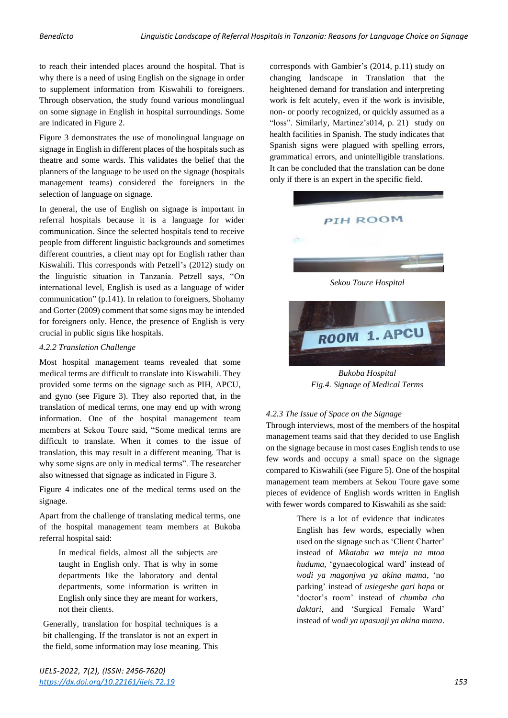to reach their intended places around the hospital. That is why there is a need of using English on the signage in order to supplement information from Kiswahili to foreigners. Through observation, the study found various monolingual on some signage in English in hospital surroundings. Some are indicated in Figure 2.

Figure 3 demonstrates the use of monolingual language on signage in English in different places of the hospitals such as theatre and some wards. This validates the belief that the planners of the language to be used on the signage (hospitals management teams) considered the foreigners in the selection of language on signage.

In general, the use of English on signage is important in referral hospitals because it is a language for wider communication. Since the selected hospitals tend to receive people from different linguistic backgrounds and sometimes different countries, a client may opt for English rather than Kiswahili. This corresponds with Petzell's (2012) study on the linguistic situation in Tanzania. Petzell says, "On international level, English is used as a language of wider communication" (p.141). In relation to foreigners, Shohamy and Gorter (2009) comment that some signs may be intended for foreigners only. Hence, the presence of English is very crucial in public signs like hospitals.

#### *4.2.2 Translation Challenge*

Most hospital management teams revealed that some medical terms are difficult to translate into Kiswahili. They provided some terms on the signage such as PIH, APCU, and gyno (see Figure 3). They also reported that, in the translation of medical terms, one may end up with wrong information. One of the hospital management team members at Sekou Toure said, "Some medical terms are difficult to translate. When it comes to the issue of translation, this may result in a different meaning. That is why some signs are only in medical terms". The researcher also witnessed that signage as indicated in Figure 3.

Figure 4 indicates one of the medical terms used on the signage.

Apart from the challenge of translating medical terms, one of the hospital management team members at Bukoba referral hospital said:

In medical fields, almost all the subjects are taught in English only. That is why in some departments like the laboratory and dental departments, some information is written in English only since they are meant for workers, not their clients.

Generally, translation for hospital techniques is a bit challenging. If the translator is not an expert in the field, some information may lose meaning. This corresponds with Gambier's (2014, p.11) study on changing landscape in Translation that the heightened demand for translation and interpreting work is felt acutely, even if the work is invisible, non- or poorly recognized, or quickly assumed as a "loss". Similarly, Martinez's014, p. 21) study on health facilities in Spanish. The study indicates that Spanish signs were plagued with spelling errors, grammatical errors, and unintelligible translations. It can be concluded that the translation can be done only if there is an expert in the specific field.





*Bukoba Hospital Fig.4. Signage of Medical Terms*

#### *4.2.3 The Issue of Space on the Signage*

Through interviews, most of the members of the hospital management teams said that they decided to use English on the signage because in most cases English tends to use few words and occupy a small space on the signage compared to Kiswahili (see Figure 5). One of the hospital management team members at Sekou Toure gave some pieces of evidence of English words written in English with fewer words compared to Kiswahili as she said:

> There is a lot of evidence that indicates English has few words, especially when used on the signage such as 'Client Charter' instead of *Mkataba wa mteja na mtoa huduma,* 'gynaecological ward' instead of *wodi ya magonjwa ya akina mama*, 'no parking' instead of *usiegeshe gari hapa* or 'doctor's room' instead of *chumba cha daktari*, and 'Surgical Female Ward' instead of *wodi ya upasuaji ya akina mama*.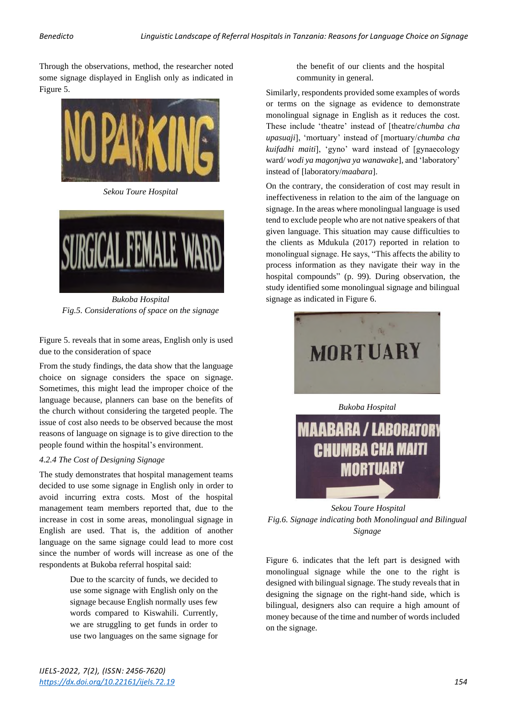Through the observations, method, the researcher noted some signage displayed in English only as indicated in Figure 5.



*Sekou Toure Hospital*



*Bukoba Hospital Fig.5. Considerations of space on the signage*

Figure 5. reveals that in some areas, English only is used due to the consideration of space

From the study findings, the data show that the language choice on signage considers the space on signage. Sometimes, this might lead the improper choice of the language because, planners can base on the benefits of the church without considering the targeted people. The issue of cost also needs to be observed because the most reasons of language on signage is to give direction to the people found within the hospital's environment.

# *4.2.4 The Cost of Designing Signage*

The study demonstrates that hospital management teams decided to use some signage in English only in order to avoid incurring extra costs. Most of the hospital management team members reported that, due to the increase in cost in some areas, monolingual signage in English are used. That is, the addition of another language on the same signage could lead to more cost since the number of words will increase as one of the respondents at Bukoba referral hospital said:

> Due to the scarcity of funds, we decided to use some signage with English only on the signage because English normally uses few words compared to Kiswahili. Currently, we are struggling to get funds in order to use two languages on the same signage for

the benefit of our clients and the hospital community in general.

Similarly, respondents provided some examples of words or terms on the signage as evidence to demonstrate monolingual signage in English as it reduces the cost. These include 'theatre' instead of [theatre/*chumba cha upasuaji*], 'mortuary' instead of [mortuary/*chumba cha kuifadhi maiti*], 'gyno' ward instead of [gynaecology ward/ *wodi ya magonjwa ya wanawake*], and 'laboratory' instead of [laboratory/*maabara*].

On the contrary, the consideration of cost may result in ineffectiveness in relation to the aim of the language on signage. In the areas where monolingual language is used tend to exclude people who are not native speakers of that given language. This situation may cause difficulties to the clients as Mdukula (2017) reported in relation to monolingual signage. He says, "This affects the ability to process information as they navigate their way in the hospital compounds" (p. 99). During observation, the study identified some monolingual signage and bilingual signage as indicated in Figure 6.



*Sekou Toure Hospital Fig.6. Signage indicating both Monolingual and Bilingual Signage*

Figure 6. indicates that the left part is designed with monolingual signage while the one to the right is designed with bilingual signage. The study reveals that in designing the signage on the right-hand side, which is bilingual, designers also can require a high amount of money because of the time and number of words included on the signage.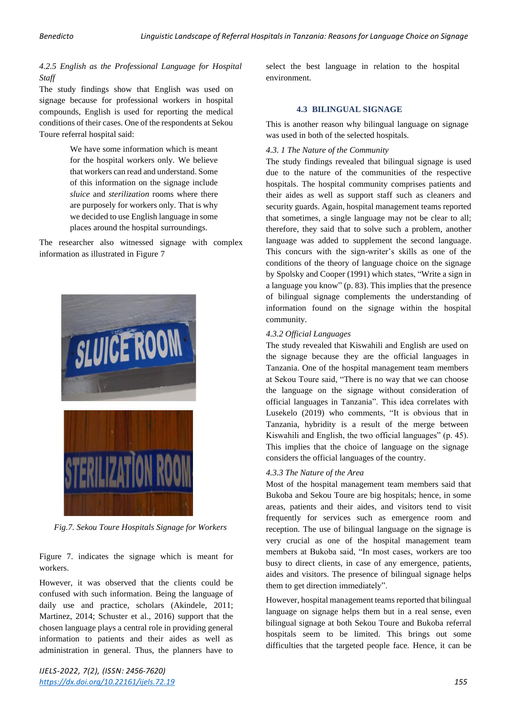# *4.2.5 English as the Professional Language for Hospital Staff*

The study findings show that English was used on signage because for professional workers in hospital compounds, English is used for reporting the medical conditions of their cases. One of the respondents at Sekou Toure referral hospital said:

> We have some information which is meant for the hospital workers only. We believe that workers can read and understand. Some of this information on the signage include *sluice* and *sterilization* rooms where there are purposely for workers only. That is why we decided to use English language in some places around the hospital surroundings.

The researcher also witnessed signage with complex information as illustrated in Figure 7



*Fig.7. Sekou Toure Hospitals Signage for Workers*

Figure 7. indicates the signage which is meant for workers.

However, it was observed that the clients could be confused with such information. Being the language of daily use and practice, scholars (Akindele, 2011; Martinez, 2014; Schuster et al., 2016) support that the chosen language plays a central role in providing general information to patients and their aides as well as administration in general. Thus, the planners have to

select the best language in relation to the hospital environment.

## **4.3 BILINGUAL SIGNAGE**

This is another reason why bilingual language on signage was used in both of the selected hospitals.

### *4.3. 1 The Nature of the Community*

The study findings revealed that bilingual signage is used due to the nature of the communities of the respective hospitals. The hospital community comprises patients and their aides as well as support staff such as cleaners and security guards. Again, hospital management teams reported that sometimes, a single language may not be clear to all; therefore, they said that to solve such a problem, another language was added to supplement the second language. This concurs with the sign-writer's skills as one of the conditions of the theory of language choice on the signage by Spolsky and Cooper (1991) which states, "Write a sign in a language you know" (p. 83). This implies that the presence of bilingual signage complements the understanding of information found on the signage within the hospital community.

## *4.3.2 Official Languages*

The study revealed that Kiswahili and English are used on the signage because they are the official languages in Tanzania. One of the hospital management team members at Sekou Toure said, "There is no way that we can choose the language on the signage without consideration of official languages in Tanzania". This idea correlates with Lusekelo (2019) who comments, "It is obvious that in Tanzania, hybridity is a result of the merge between Kiswahili and English, the two official languages" (p. 45). This implies that the choice of language on the signage considers the official languages of the country.

#### *4.3.3 The Nature of the Area*

Most of the hospital management team members said that Bukoba and Sekou Toure are big hospitals; hence, in some areas, patients and their aides, and visitors tend to visit frequently for services such as emergence room and reception. The use of bilingual language on the signage is very crucial as one of the hospital management team members at Bukoba said, "In most cases, workers are too busy to direct clients, in case of any emergence, patients, aides and visitors. The presence of bilingual signage helps them to get direction immediately".

However, hospital management teams reported that bilingual language on signage helps them but in a real sense, even bilingual signage at both Sekou Toure and Bukoba referral hospitals seem to be limited. This brings out some difficulties that the targeted people face. Hence, it can be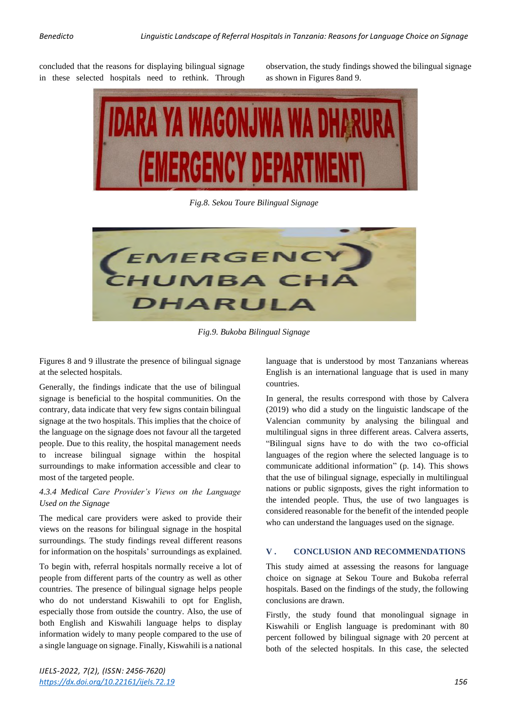concluded that the reasons for displaying bilingual signage in these selected hospitals need to rethink. Through observation, the study findings showed the bilingual signage as shown in Figures 8and 9.



*Fig.8. Sekou Toure Bilingual Signage*



*Fig.9. Bukoba Bilingual Signage*

Figures 8 and 9 illustrate the presence of bilingual signage at the selected hospitals.

Generally, the findings indicate that the use of bilingual signage is beneficial to the hospital communities. On the contrary, data indicate that very few signs contain bilingual signage at the two hospitals. This implies that the choice of the language on the signage does not favour all the targeted people. Due to this reality, the hospital management needs to increase bilingual signage within the hospital surroundings to make information accessible and clear to most of the targeted people.

## *4.3.4 Medical Care Provider's Views on the Language Used on the Signage*

The medical care providers were asked to provide their views on the reasons for bilingual signage in the hospital surroundings. The study findings reveal different reasons for information on the hospitals' surroundings as explained.

To begin with, referral hospitals normally receive a lot of people from different parts of the country as well as other countries. The presence of bilingual signage helps people who do not understand Kiswahili to opt for English, especially those from outside the country. Also, the use of both English and Kiswahili language helps to display information widely to many people compared to the use of a single language on signage. Finally, Kiswahili is a national language that is understood by most Tanzanians whereas English is an international language that is used in many countries.

In general, the results correspond with those by Calvera (2019) who did a study on the linguistic landscape of the Valencian community by analysing the bilingual and multilingual signs in three different areas. Calvera asserts, "Bilingual signs have to do with the two co-official languages of the region where the selected language is to communicate additional information" (p. 14). This shows that the use of bilingual signage, especially in multilingual nations or public signposts, gives the right information to the intended people. Thus, the use of two languages is considered reasonable for the benefit of the intended people who can understand the languages used on the signage.

# **V . CONCLUSION AND RECOMMENDATIONS**

This study aimed at assessing the reasons for language choice on signage at Sekou Toure and Bukoba referral hospitals. Based on the findings of the study, the following conclusions are drawn.

Firstly, the study found that monolingual signage in Kiswahili or English language is predominant with 80 percent followed by bilingual signage with 20 percent at both of the selected hospitals. In this case, the selected